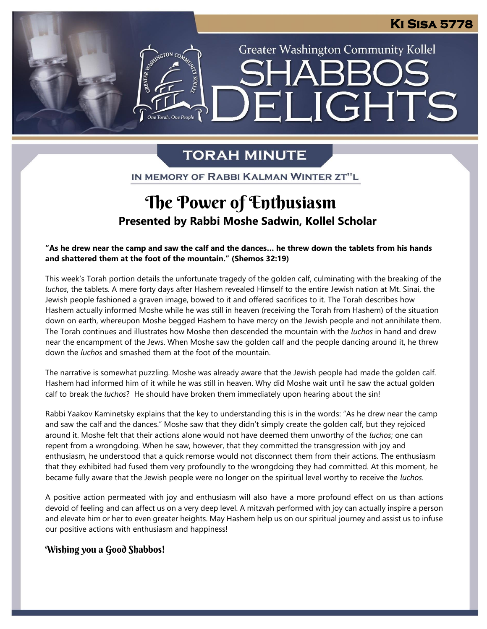## **\_IGHTS**  $\blacksquare$ -<br>2 Torah, One Peop

**Greater Washington Community Kollel** 

### **TORAH MINUTE**

IN MEMORY OF RABBI KALMAN WINTER ZT"L

### . **Presented by Rabbi Moshe Sadwin, Kollel Scholar** The Power of Enthusiasm

**"As he drew near the camp and saw the calf and the dances… he threw down the tablets from his hands and shattered them at the foot of the mountain." (Shemos 32:19)**

This week's Torah portion details the unfortunate tragedy of the golden calf, culminating with the breaking of the *luchos*, the tablets. A mere forty days after Hashem revealed Himself to the entire Jewish nation at Mt. Sinai, the Jewish people fashioned a graven image, bowed to it and offered sacrifices to it. The Torah describes how Hashem actually informed Moshe while he was still in heaven (receiving the Torah from Hashem) of the situation down on earth, whereupon Moshe begged Hashem to have mercy on the Jewish people and not annihilate them. The Torah continues and illustrates how Moshe then descended the mountain with the *luchos* in hand and drew near the encampment of the Jews. When Moshe saw the golden calf and the people dancing around it, he threw down the *luchos* and smashed them at the foot of the mountain.

The narrative is somewhat puzzling. Moshe was already aware that the Jewish people had made the golden calf. Hashem had informed him of it while he was still in heaven. Why did Moshe wait until he saw the actual golden Frasherm had imortified him of it while he was still in heaven. Why did woshe wait drift he saw the calf to break the *luchos*? He should have broken them immediately upon hearing about the sin!

Rabbi Yaakov Kaminetsky explains that the key to understanding this is in the words: "As he drew near the camp and saw the calf and the dances." Moshe saw that they didn't simply create the golden calf, but they rejoiced around it. Moshe felt that their actions alone would not have deemed them unworthy of the *luchos*; one can repent from a wrongdoing. When he saw, however, that they committed the transgression with joy and enthusiasm, he understood that a quick remorse would not disconnect them from their actions. The enthusiasm repent from a mongaonig. Then he san, however, that they committed the transgression marrysy and<br>enthusiasm, he understood that a quick remorse would not disconnect them from their actions. The enthusiasm<br>that they exhibit became fully aware that the Jewish people were no longer on the spiritual level worthy to receive the *luchos*.

A positive action permeated with joy and enthusiasm will also have a more profound effect on us than actions devoid of feeling and can affect us on a very deep level. A mitzvah performed with joy can actually inspire a person and elevate him or her to even greater heights. May Hashem help us on our spiritual journey and assist us to infuse our positive actions with enthusiasm and happiness!

#### Wishing you a Good Shabbos!